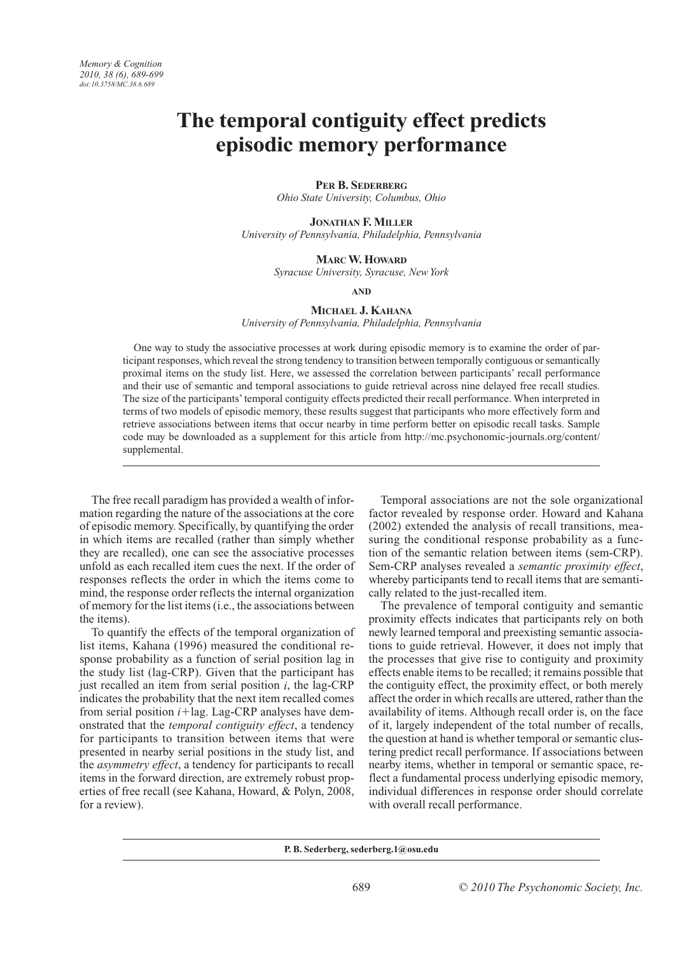# **The temporal contiguity effect predicts episodic memory performance**

# **Per B. Sederberg**

*Ohio State University, Columbus, Ohio*

**Jonathan F. Miller** *University of Pennsylvania, Philadelphia, Pennsylvania*

> **Marc W. Howard** *Syracuse University, Syracuse, New York*

> > **and**

# **Michael J. Kahana**

*University of Pennsylvania, Philadelphia, Pennsylvania*

One way to study the associative processes at work during episodic memory is to examine the order of participant responses, which reveal the strong tendency to transition between temporally contiguous or semantically proximal items on the study list. Here, we assessed the correlation between participants' recall performance and their use of semantic and temporal associations to guide retrieval across nine delayed free recall studies. The size of the participants' temporal contiguity effects predicted their recall performance. When interpreted in terms of two models of episodic memory, these results suggest that participants who more effectively form and retrieve associations between items that occur nearby in time perform better on episodic recall tasks. Sample code may be downloaded as a supplement for this article from http://mc.psychonomic-journals.org/content/ supplemental.

The free recall paradigm has provided a wealth of information regarding the nature of the associations at the core of episodic memory. Specifically, by quantifying the order in which items are recalled (rather than simply whether they are recalled), one can see the associative processes unfold as each recalled item cues the next. If the order of responses reflects the order in which the items come to mind, the response order reflects the internal organization of memory for the list items (i.e., the associations between the items).

To quantify the effects of the temporal organization of list items, Kahana (1996) measured the conditional response probability as a function of serial position lag in the study list (lag-CRP). Given that the participant has just recalled an item from serial position *i*, the lag-CRP indicates the probability that the next item recalled comes from serial position  $i+lag$ . Lag-CRP analyses have demonstrated that the *temporal contiguity effect*, a tendency for participants to transition between items that were presented in nearby serial positions in the study list, and the *asymmetry effect*, a tendency for participants to recall items in the forward direction, are extremely robust properties of free recall (see Kahana, Howard, & Polyn, 2008, for a review).

Temporal associations are not the sole organizational factor revealed by response order. Howard and Kahana (2002) extended the analysis of recall transitions, measuring the conditional response probability as a function of the semantic relation between items (sem-CRP). Sem-CRP analyses revealed a *semantic proximity effect*, whereby participants tend to recall items that are semantically related to the just-recalled item.

The prevalence of temporal contiguity and semantic proximity effects indicates that participants rely on both newly learned temporal and preexisting semantic associations to guide retrieval. However, it does not imply that the processes that give rise to contiguity and proximity effects enable items to be recalled; it remains possible that the contiguity effect, the proximity effect, or both merely affect the order in which recalls are uttered, rather than the availability of items. Although recall order is, on the face of it, largely independent of the total number of recalls, the question at hand is whether temporal or semantic clustering predict recall performance. If associations between nearby items, whether in temporal or semantic space, reflect a fundamental process underlying episodic memory, individual differences in response order should correlate with overall recall performance.

**P. B. Sederberg, sederberg.1@osu.edu**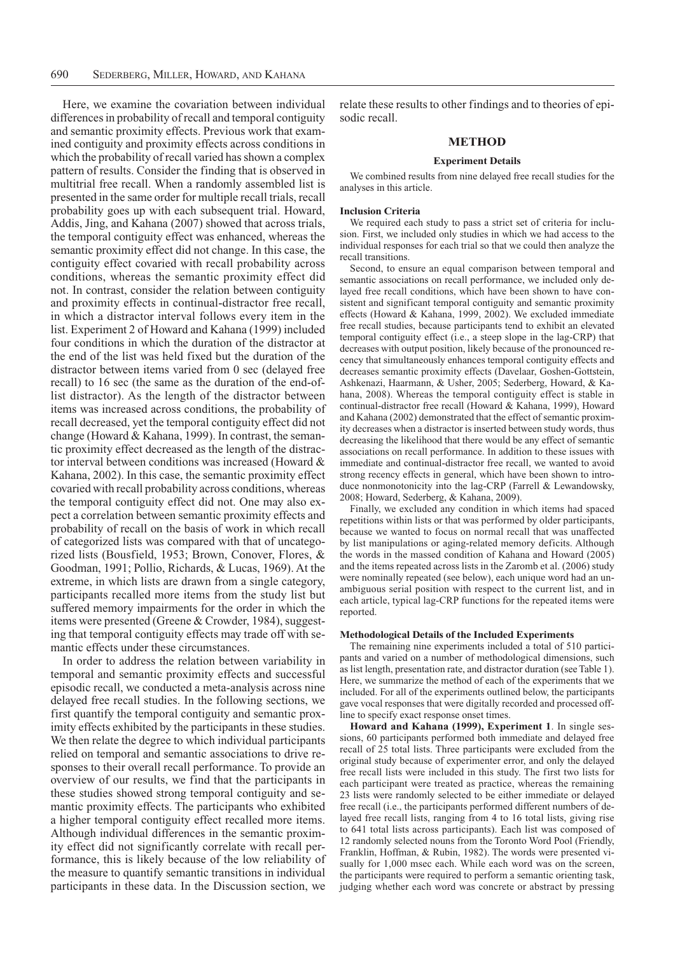Here, we examine the covariation between individual differences in probability of recall and temporal contiguity and semantic proximity effects. Previous work that examined contiguity and proximity effects across conditions in which the probability of recall varied has shown a complex pattern of results. Consider the finding that is observed in multitrial free recall. When a randomly assembled list is presented in the same order for multiple recall trials, recall probability goes up with each subsequent trial. Howard, Addis, Jing, and Kahana (2007) showed that across trials, the temporal contiguity effect was enhanced, whereas the semantic proximity effect did not change. In this case, the contiguity effect covaried with recall probability across conditions, whereas the semantic proximity effect did not. In contrast, consider the relation between contiguity and proximity effects in continual-distractor free recall, in which a distractor interval follows every item in the list. Experiment 2 of Howard and Kahana (1999) included four conditions in which the duration of the distractor at the end of the list was held fixed but the duration of the distractor between items varied from 0 sec (delayed free recall) to 16 sec (the same as the duration of the end-oflist distractor). As the length of the distractor between items was increased across conditions, the probability of recall decreased, yet the temporal contiguity effect did not change (Howard & Kahana, 1999). In contrast, the semantic proximity effect decreased as the length of the distractor interval between conditions was increased (Howard & Kahana, 2002). In this case, the semantic proximity effect covaried with recall probability across conditions, whereas the temporal contiguity effect did not. One may also expect a correlation between semantic proximity effects and probability of recall on the basis of work in which recall of categorized lists was compared with that of uncategorized lists (Bousfield, 1953; Brown, Conover, Flores, & Goodman, 1991; Pollio, Richards, & Lucas, 1969). At the extreme, in which lists are drawn from a single category, participants recalled more items from the study list but suffered memory impairments for the order in which the items were presented (Greene & Crowder, 1984), suggesting that temporal contiguity effects may trade off with semantic effects under these circumstances.

In order to address the relation between variability in temporal and semantic proximity effects and successful episodic recall, we conducted a meta-analysis across nine delayed free recall studies. In the following sections, we first quantify the temporal contiguity and semantic proximity effects exhibited by the participants in these studies. We then relate the degree to which individual participants relied on temporal and semantic associations to drive responses to their overall recall performance. To provide an overview of our results, we find that the participants in these studies showed strong temporal contiguity and semantic proximity effects. The participants who exhibited a higher temporal contiguity effect recalled more items. Although individual differences in the semantic proximity effect did not significantly correlate with recall performance, this is likely because of the low reliability of the measure to quantify semantic transitions in individual participants in these data. In the Discussion section, we

relate these results to other findings and to theories of episodic recall.

## **Method**

#### **Experiment Details**

We combined results from nine delayed free recall studies for the analyses in this article.

## **Inclusion Criteria**

We required each study to pass a strict set of criteria for inclusion. First, we included only studies in which we had access to the individual responses for each trial so that we could then analyze the recall transitions.

Second, to ensure an equal comparison between temporal and semantic associations on recall performance, we included only delayed free recall conditions, which have been shown to have consistent and significant temporal contiguity and semantic proximity effects (Howard & Kahana, 1999, 2002). We excluded immediate free recall studies, because participants tend to exhibit an elevated temporal contiguity effect (i.e., a steep slope in the lag-CRP) that decreases with output position, likely because of the pronounced recency that simultaneously enhances temporal contiguity effects and decreases semantic proximity effects (Davelaar, Goshen-Gottstein, Ashkenazi, Haarmann, & Usher, 2005; Sederberg, Howard, & Kahana, 2008). Whereas the temporal contiguity effect is stable in continual-distractor free recall (Howard & Kahana, 1999), Howard and Kahana (2002) demonstrated that the effect of semantic proximity decreases when a distractor is inserted between study words, thus decreasing the likelihood that there would be any effect of semantic associations on recall performance. In addition to these issues with immediate and continual-distractor free recall, we wanted to avoid strong recency effects in general, which have been shown to introduce nonmonotonicity into the lag-CRP (Farrell & Lewandowsky, 2008; Howard, Sederberg, & Kahana, 2009).

Finally, we excluded any condition in which items had spaced repetitions within lists or that was performed by older participants, because we wanted to focus on normal recall that was unaffected by list manipulations or aging-related memory deficits. Although the words in the massed condition of Kahana and Howard (2005) and the items repeated across lists in the Zaromb et al. (2006) study were nominally repeated (see below), each unique word had an unambiguous serial position with respect to the current list, and in each article, typical lag-CRP functions for the repeated items were reported.

## **Methodological Details of the Included Experiments**

The remaining nine experiments included a total of 510 participants and varied on a number of methodological dimensions, such as list length, presentation rate, and distractor duration (see Table 1). Here, we summarize the method of each of the experiments that we included. For all of the experiments outlined below, the participants gave vocal responses that were digitally recorded and processed offline to specify exact response onset times.

**Howard and Kahana (1999), Experiment 1**. In single sessions, 60 participants performed both immediate and delayed free recall of 25 total lists. Three participants were excluded from the original study because of experimenter error, and only the delayed free recall lists were included in this study. The first two lists for each participant were treated as practice, whereas the remaining 23 lists were randomly selected to be either immediate or delayed free recall (i.e., the participants performed different numbers of delayed free recall lists, ranging from 4 to 16 total lists, giving rise to 641 total lists across participants). Each list was composed of 12 randomly selected nouns from the Toronto Word Pool (Friendly, Franklin, Hoffman, & Rubin, 1982). The words were presented visually for 1,000 msec each. While each word was on the screen, the participants were required to perform a semantic orienting task, judging whether each word was concrete or abstract by pressing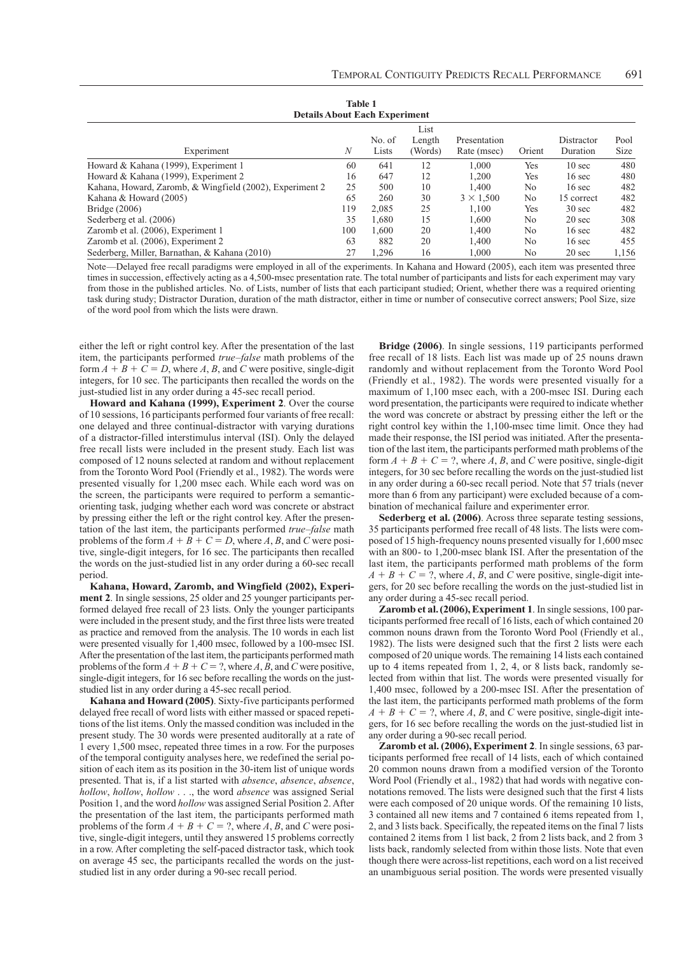| <b>Table 1</b><br><b>Details About Each Experiment</b>   |     |       |    |                  |     |                   |       |  |  |  |  |
|----------------------------------------------------------|-----|-------|----|------------------|-----|-------------------|-------|--|--|--|--|
|                                                          |     |       |    |                  |     |                   |       |  |  |  |  |
| Howard & Kahana (1999), Experiment 1                     | 60  | 641   | 12 | 1.000            | Yes | 10 <sub>sec</sub> | 480   |  |  |  |  |
| Howard & Kahana (1999), Experiment 2                     | 16  | 647   | 12 | 1.200            | Yes | $16 \text{ sec}$  | 480   |  |  |  |  |
| Kahana, Howard, Zaromb, & Wingfield (2002), Experiment 2 | 25  | 500   | 10 | 1.400            | No  | $16 \text{ sec}$  | 482   |  |  |  |  |
| Kahana & Howard (2005)                                   | 65  | 260   | 30 | $3 \times 1,500$ | No  | 15 correct        | 482   |  |  |  |  |
| Bridge $(2006)$                                          | 119 | 2.085 | 25 | 1.100            | Yes | $30 \text{ sec}$  | 482   |  |  |  |  |
| Sederberg et al. (2006)                                  | 35  | 1.680 | 15 | 1.600            | No  | 20 sec            | 308   |  |  |  |  |
| Zaromb et al. (2006), Experiment 1                       | 100 | 1.600 | 20 | 1.400            | No  | $16 \text{ sec}$  | 482   |  |  |  |  |
| Zaromb et al. (2006), Experiment 2                       | 63  | 882   | 20 | 1.400            | No  | $16 \text{ sec}$  | 455   |  |  |  |  |
| Sederberg, Miller, Barnathan, & Kahana (2010)            | 27  | 1.296 | 16 | 1.000            | No  | 20 sec            | 1,156 |  |  |  |  |

Note—Delayed free recall paradigms were employed in all of the experiments. In Kahana and Howard (2005), each item was presented three times in succession, effectively acting as a 4,500-msec presentation rate. The total number of participants and lists for each experiment may vary from those in the published articles. No. of Lists, number of lists that each participant studied; Orient, whether there was a required orienting task during study; Distractor Duration, duration of the math distractor, either in time or number of consecutive correct answers; Pool Size, size of the word pool from which the lists were drawn.

either the left or right control key. After the presentation of the last item, the participants performed *true*–*false* math problems of the form  $A + B + C = D$ , where A, B, and C were positive, single-digit integers, for 10 sec. The participants then recalled the words on the just-studied list in any order during a 45-sec recall period.

**Howard and Kahana (1999), Experiment 2**. Over the course of 10 sessions, 16 participants performed four variants of free recall: one delayed and three continual-distractor with varying durations of a distractor-filled interstimulus interval (ISI). Only the delayed free recall lists were included in the present study. Each list was composed of 12 nouns selected at random and without replacement from the Toronto Word Pool (Friendly et al., 1982). The words were presented visually for 1,200 msec each. While each word was on the screen, the participants were required to perform a semanticorienting task, judging whether each word was concrete or abstract by pressing either the left or the right control key. After the presentation of the last item, the participants performed *true*–*false* math problems of the form  $A + B + C = D$ , where A, B, and C were positive, single-digit integers, for 16 sec. The participants then recalled the words on the just-studied list in any order during a 60-sec recall period.

**Kahana, Howard, Zaromb, and Wingfield (2002), Experiment 2**. In single sessions, 25 older and 25 younger participants performed delayed free recall of 23 lists. Only the younger participants were included in the present study, and the first three lists were treated as practice and removed from the analysis. The 10 words in each list were presented visually for 1,400 msec, followed by a 100-msec ISI. After the presentation of the last item, the participants performed math problems of the form  $A + B + C = ?$ , where A, B, and C were positive, single-digit integers, for 16 sec before recalling the words on the juststudied list in any order during a 45-sec recall period.

**Kahana and Howard (2005)**. Sixty-five participants performed delayed free recall of word lists with either massed or spaced repetitions of the list items. Only the massed condition was included in the present study. The 30 words were presented auditorally at a rate of 1 every 1,500 msec, repeated three times in a row. For the purposes of the temporal contiguity analyses here, we redefined the serial position of each item as its position in the 30-item list of unique words presented. That is, if a list started with *absence*, *absence*, *absence*, *hollow*, *hollow*, *hollow* . . ., the word *absence* was assigned Serial Position 1, and the word *hollow* was assigned Serial Position 2. After the presentation of the last item, the participants performed math problems of the form  $A + B + C = ?$ , where *A*, *B*, and *C* were positive, single-digit integers, until they answered 15 problems correctly in a row. After completing the self-paced distractor task, which took on average 45 sec, the participants recalled the words on the juststudied list in any order during a 90-sec recall period.

**Bridge (2006)**. In single sessions, 119 participants performed free recall of 18 lists. Each list was made up of 25 nouns drawn randomly and without replacement from the Toronto Word Pool (Friendly et al., 1982). The words were presented visually for a maximum of 1,100 msec each, with a 200-msec ISI. During each word presentation, the participants were required to indicate whether the word was concrete or abstract by pressing either the left or the right control key within the 1,100-msec time limit. Once they had made their response, the ISI period was initiated. After the presentation of the last item, the participants performed math problems of the form  $A + B + C = ?$ , where A, B, and C were positive, single-digit integers, for 30 sec before recalling the words on the just-studied list in any order during a 60-sec recall period. Note that 57 trials (never more than 6 from any participant) were excluded because of a combination of mechanical failure and experimenter error.

**Sederberg et al. (2006)**. Across three separate testing sessions, 35 participants performed free recall of 48 lists. The lists were composed of 15 high-frequency nouns presented visually for 1,600 msec with an 800- to 1,200-msec blank ISI. After the presentation of the last item, the participants performed math problems of the form  $A + B + C = ?$ , where *A*, *B*, and *C* were positive, single-digit integers, for 20 sec before recalling the words on the just-studied list in any order during a 45-sec recall period.

**Zaromb et al. (2006), Experiment 1**. In single sessions, 100 participants performed free recall of 16 lists, each of which contained 20 common nouns drawn from the Toronto Word Pool (Friendly et al., 1982). The lists were designed such that the first 2 lists were each composed of 20 unique words. The remaining 14 lists each contained up to 4 items repeated from 1, 2, 4, or 8 lists back, randomly selected from within that list. The words were presented visually for 1,400 msec, followed by a 200-msec ISI. After the presentation of the last item, the participants performed math problems of the form  $A + B + C = ?$ , where *A*, *B*, and *C* were positive, single-digit integers, for 16 sec before recalling the words on the just-studied list in any order during a 90-sec recall period.

**Zaromb et al. (2006), Experiment 2**. In single sessions, 63 participants performed free recall of 14 lists, each of which contained 20 common nouns drawn from a modified version of the Toronto Word Pool (Friendly et al., 1982) that had words with negative connotations removed. The lists were designed such that the first 4 lists were each composed of 20 unique words. Of the remaining 10 lists, 3 contained all new items and 7 contained 6 items repeated from 1, 2, and 3 lists back. Specifically, the repeated items on the final 7 lists contained 2 items from 1 list back, 2 from 2 lists back, and 2 from 3 lists back, randomly selected from within those lists. Note that even though there were across-list repetitions, each word on a list received an unambiguous serial position. The words were presented visually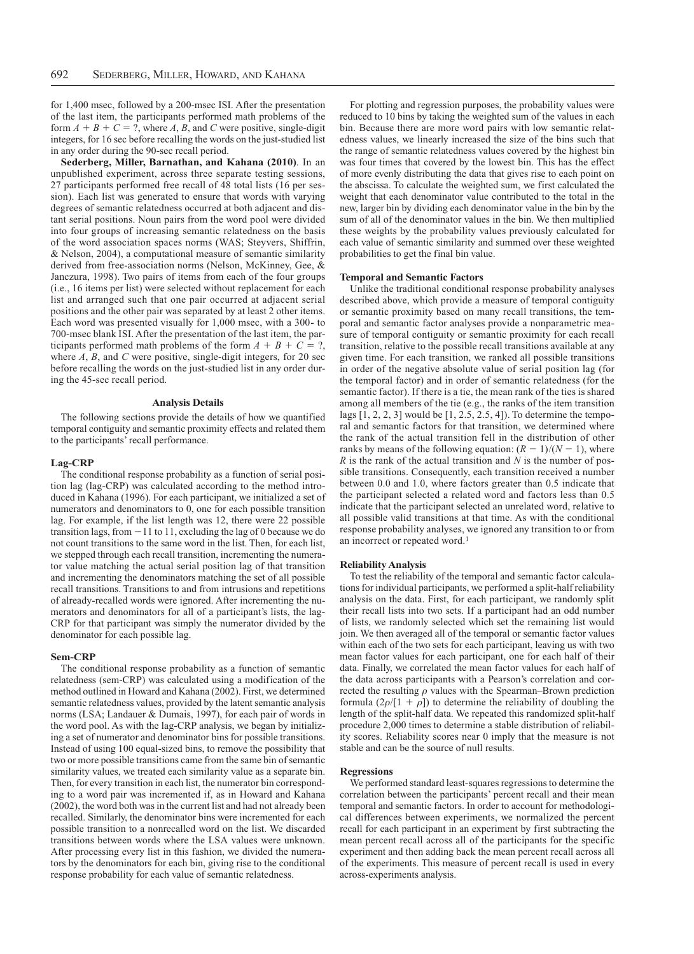for 1,400 msec, followed by a 200-msec ISI. After the presentation of the last item, the participants performed math problems of the form  $A + B + C = ?$ , where A, B, and C were positive, single-digit integers, for 16 sec before recalling the words on the just-studied list in any order during the 90-sec recall period.

**Sederberg, Miller, Barnathan, and Kahana (2010)**. In an unpublished experiment, across three separate testing sessions, 27 participants performed free recall of 48 total lists (16 per session). Each list was generated to ensure that words with varying degrees of semantic relatedness occurred at both adjacent and distant serial positions. Noun pairs from the word pool were divided into four groups of increasing semantic relatedness on the basis of the word association spaces norms (WAS; Steyvers, Shiffrin, & Nelson, 2004), a computational measure of semantic similarity derived from free-association norms (Nelson, McKinney, Gee, & Janczura, 1998). Two pairs of items from each of the four groups (i.e., 16 items per list) were selected without replacement for each list and arranged such that one pair occurred at adjacent serial positions and the other pair was separated by at least 2 other items. Each word was presented visually for 1,000 msec, with a 300- to 700-msec blank ISI. After the presentation of the last item, the participants performed math problems of the form  $A + B + C = ?$ , where *A*, *B*, and *C* were positive, single-digit integers, for 20 sec before recalling the words on the just-studied list in any order during the 45-sec recall period.

#### **Analysis Details**

The following sections provide the details of how we quantified temporal contiguity and semantic proximity effects and related them to the participants' recall performance.

## **Lag-CRP**

The conditional response probability as a function of serial position lag (lag-CRP) was calculated according to the method introduced in Kahana (1996). For each participant, we initialized a set of numerators and denominators to 0, one for each possible transition lag. For example, if the list length was 12, there were 22 possible transition lags, from  $-11$  to 11, excluding the lag of 0 because we do not count transitions to the same word in the list. Then, for each list, we stepped through each recall transition, incrementing the numerator value matching the actual serial position lag of that transition and incrementing the denominators matching the set of all possible recall transitions. Transitions to and from intrusions and repetitions of already-recalled words were ignored. After incrementing the numerators and denominators for all of a participant's lists, the lag-CRP for that participant was simply the numerator divided by the denominator for each possible lag.

#### **Sem-CRP**

The conditional response probability as a function of semantic relatedness (sem-CRP) was calculated using a modification of the method outlined in Howard and Kahana (2002). First, we determined semantic relatedness values, provided by the latent semantic analysis norms (LSA; Landauer & Dumais, 1997), for each pair of words in the word pool. As with the lag-CRP analysis, we began by initializing a set of numerator and denominator bins for possible transitions. Instead of using 100 equal-sized bins, to remove the possibility that two or more possible transitions came from the same bin of semantic similarity values, we treated each similarity value as a separate bin. Then, for every transition in each list, the numerator bin corresponding to a word pair was incremented if, as in Howard and Kahana (2002), the word both was in the current list and had not already been recalled. Similarly, the denominator bins were incremented for each possible transition to a nonrecalled word on the list. We discarded transitions between words where the LSA values were unknown. After processing every list in this fashion, we divided the numerators by the denominators for each bin, giving rise to the conditional response probability for each value of semantic relatedness.

For plotting and regression purposes, the probability values were reduced to 10 bins by taking the weighted sum of the values in each bin. Because there are more word pairs with low semantic relatedness values, we linearly increased the size of the bins such that the range of semantic relatedness values covered by the highest bin was four times that covered by the lowest bin. This has the effect of more evenly distributing the data that gives rise to each point on the abscissa. To calculate the weighted sum, we first calculated the weight that each denominator value contributed to the total in the new, larger bin by dividing each denominator value in the bin by the sum of all of the denominator values in the bin. We then multiplied these weights by the probability values previously calculated for each value of semantic similarity and summed over these weighted probabilities to get the final bin value.

# **Temporal and Semantic Factors**

Unlike the traditional conditional response probability analyses described above, which provide a measure of temporal contiguity or semantic proximity based on many recall transitions, the temporal and semantic factor analyses provide a nonparametric measure of temporal contiguity or semantic proximity for each recall transition, relative to the possible recall transitions available at any given time. For each transition, we ranked all possible transitions in order of the negative absolute value of serial position lag (for the temporal factor) and in order of semantic relatedness (for the semantic factor). If there is a tie, the mean rank of the ties is shared among all members of the tie (e.g., the ranks of the item transition lags [1, 2, 2, 3] would be [1, 2.5, 2.5, 4]). To determine the temporal and semantic factors for that transition, we determined where the rank of the actual transition fell in the distribution of other ranks by means of the following equation:  $(R - 1)/(N - 1)$ , where *R* is the rank of the actual transition and *N* is the number of possible transitions. Consequently, each transition received a number between 0.0 and 1.0, where factors greater than 0.5 indicate that the participant selected a related word and factors less than 0.5 indicate that the participant selected an unrelated word, relative to all possible valid transitions at that time. As with the conditional response probability analyses, we ignored any transition to or from an incorrect or repeated word.<sup>1</sup>

#### **Reliability Analysis**

To test the reliability of the temporal and semantic factor calculations for individual participants, we performed a split-half reliability analysis on the data. First, for each participant, we randomly split their recall lists into two sets. If a participant had an odd number of lists, we randomly selected which set the remaining list would join. We then averaged all of the temporal or semantic factor values within each of the two sets for each participant, leaving us with two mean factor values for each participant, one for each half of their data. Finally, we correlated the mean factor values for each half of the data across participants with a Pearson's correlation and corrected the resulting  $\rho$  values with the Spearman–Brown prediction formula  $(2\rho/[1 + \rho])$  to determine the reliability of doubling the length of the split-half data. We repeated this randomized split-half procedure 2,000 times to determine a stable distribution of reliability scores. Reliability scores near 0 imply that the measure is not stable and can be the source of null results.

## **Regressions**

We performed standard least-squares regressions to determine the correlation between the participants' percent recall and their mean temporal and semantic factors. In order to account for methodological differences between experiments, we normalized the percent recall for each participant in an experiment by first subtracting the mean percent recall across all of the participants for the specific experiment and then adding back the mean percent recall across all of the experiments. This measure of percent recall is used in every across-experiments analysis.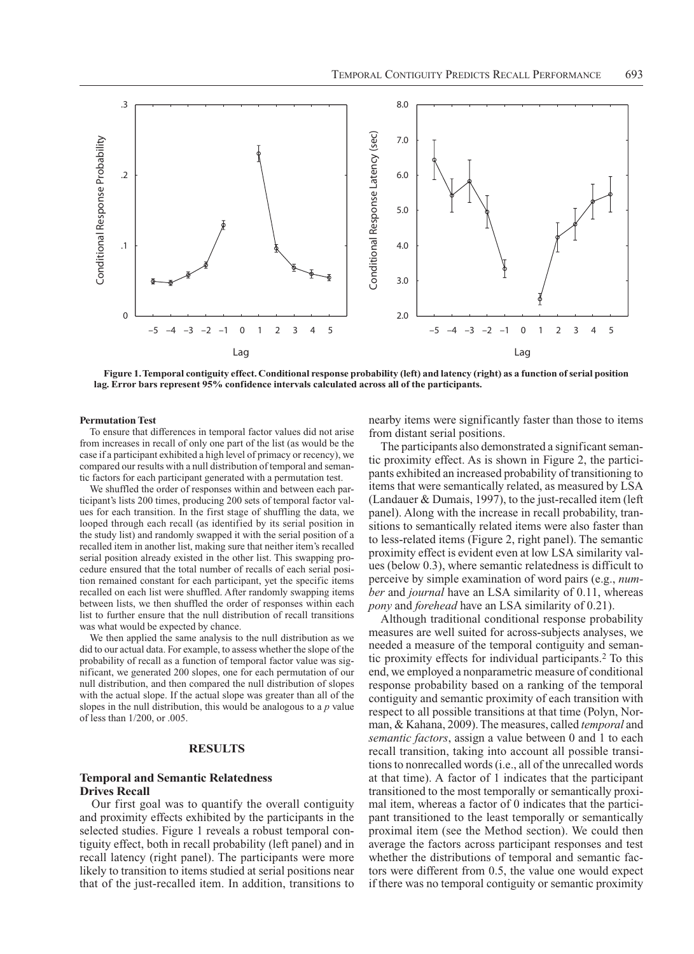

**Figure 1. Temporal contiguity effect. Conditional response probability (left) and latency (right) as a function of serial position lag. Error bars represent 95% confidence intervals calculated across all of the participants.**

#### **Permutation Test**

To ensure that differences in temporal factor values did not arise from increases in recall of only one part of the list (as would be the case if a participant exhibited a high level of primacy or recency), we compared our results with a null distribution of temporal and semantic factors for each participant generated with a permutation test.

We shuffled the order of responses within and between each participant's lists 200 times, producing 200 sets of temporal factor values for each transition. In the first stage of shuffling the data, we looped through each recall (as identified by its serial position in the study list) and randomly swapped it with the serial position of a recalled item in another list, making sure that neither item's recalled serial position already existed in the other list. This swapping procedure ensured that the total number of recalls of each serial position remained constant for each participant, yet the specific items recalled on each list were shuffled. After randomly swapping items between lists, we then shuffled the order of responses within each list to further ensure that the null distribution of recall transitions was what would be expected by chance.

We then applied the same analysis to the null distribution as we did to our actual data. For example, to assess whether the slope of the probability of recall as a function of temporal factor value was significant, we generated 200 slopes, one for each permutation of our null distribution, and then compared the null distribution of slopes with the actual slope. If the actual slope was greater than all of the slopes in the null distribution, this would be analogous to a *p* value of less than 1/200, or .005.

# **Results**

## **Temporal and Semantic Relatedness Drives Recall**

Our first goal was to quantify the overall contiguity and proximity effects exhibited by the participants in the selected studies. Figure 1 reveals a robust temporal contiguity effect, both in recall probability (left panel) and in recall latency (right panel). The participants were more likely to transition to items studied at serial positions near that of the just-recalled item. In addition, transitions to

nearby items were significantly faster than those to items from distant serial positions.

The participants also demonstrated a significant semantic proximity effect. As is shown in Figure 2, the participants exhibited an increased probability of transitioning to items that were semantically related, as measured by LSA (Landauer & Dumais, 1997), to the just-recalled item (left panel). Along with the increase in recall probability, transitions to semantically related items were also faster than to less-related items (Figure 2, right panel). The semantic proximity effect is evident even at low LSA similarity values (below 0.3), where semantic relatedness is difficult to perceive by simple examination of word pairs (e.g., *number* and *journal* have an LSA similarity of 0.11, whereas *pony* and *forehead* have an LSA similarity of 0.21).

Although traditional conditional response probability measures are well suited for across-subjects analyses, we needed a measure of the temporal contiguity and semantic proximity effects for individual participants.2 To this end, we employed a nonparametric measure of conditional response probability based on a ranking of the temporal contiguity and semantic proximity of each transition with respect to all possible transitions at that time (Polyn, Norman, & Kahana, 2009). The measures, called *temporal* and *semantic factors*, assign a value between 0 and 1 to each recall transition, taking into account all possible transitions to nonrecalled words (i.e., all of the unrecalled words at that time). A factor of 1 indicates that the participant transitioned to the most temporally or semantically proximal item, whereas a factor of 0 indicates that the participant transitioned to the least temporally or semantically proximal item (see the Method section). We could then average the factors across participant responses and test whether the distributions of temporal and semantic factors were different from 0.5, the value one would expect if there was no temporal contiguity or semantic proximity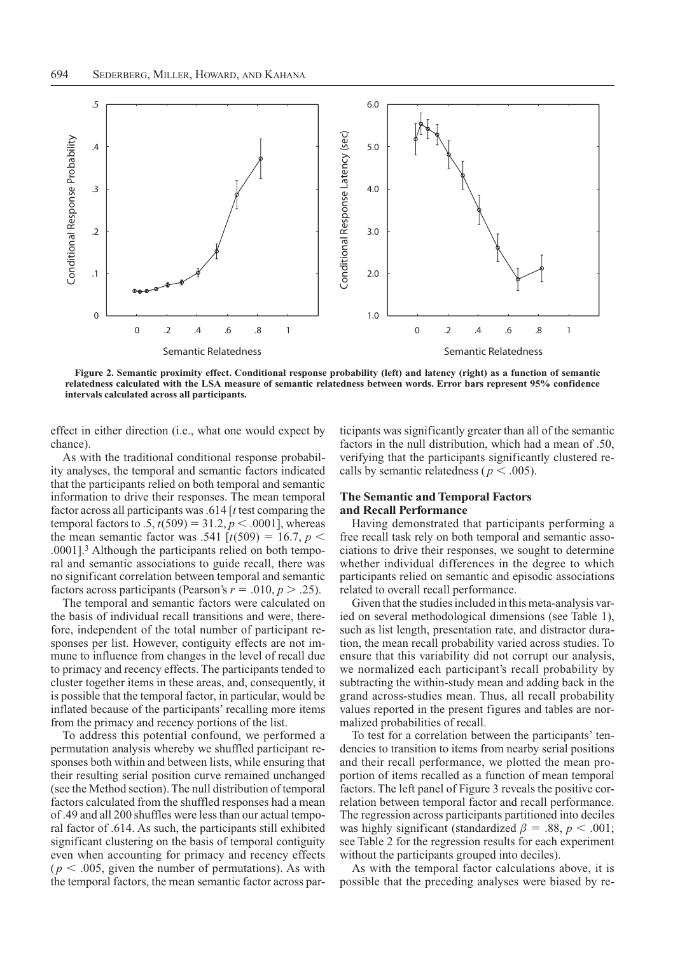

**Figure 2. Semantic proximity effect. Conditional response probability (left) and latency (right) as a function of semantic relatedness calculated with the LSA measure of semantic relatedness between words. Error bars represent 95% confidence intervals calculated across all participants.**

effect in either direction (i.e., what one would expect by chance).

As with the traditional conditional response probability analyses, the temporal and semantic factors indicated that the participants relied on both temporal and semantic information to drive their responses. The mean temporal factor across all participants was .614 [*t* test comparing the temporal factors to .5,  $t(509) = 31.2, p < .0001$ , whereas the mean semantic factor was .541  $[t(509) = 16.7, p <$ .0001].3 Although the participants relied on both temporal and semantic associations to guide recall, there was no significant correlation between temporal and semantic factors across participants (Pearson's  $r = .010$ ,  $p > .25$ ).

The temporal and semantic factors were calculated on the basis of individual recall transitions and were, therefore, independent of the total number of participant responses per list. However, contiguity effects are not immune to influence from changes in the level of recall due to primacy and recency effects. The participants tended to cluster together items in these areas, and, consequently, it is possible that the temporal factor, in particular, would be inflated because of the participants' recalling more items from the primacy and recency portions of the list.

To address this potential confound, we performed a permutation analysis whereby we shuffled participant responses both within and between lists, while ensuring that their resulting serial position curve remained unchanged (see the Method section). The null distribution of temporal factors calculated from the shuffled responses had a mean of .49 and all 200 shuffles were less than our actual temporal factor of .614. As such, the participants still exhibited significant clustering on the basis of temporal contiguity even when accounting for primacy and recency effects  $(p < .005,$  given the number of permutations). As with the temporal factors, the mean semantic factor across participants was significantly greater than all of the semantic factors in the null distribution, which had a mean of .50, verifying that the participants significantly clustered recalls by semantic relatedness ( $p < .005$ ).

# **The Semantic and Temporal Factors and Recall Performance**

Having demonstrated that participants performing a free recall task rely on both temporal and semantic associations to drive their responses, we sought to determine whether individual differences in the degree to which participants relied on semantic and episodic associations related to overall recall performance.

Given that the studies included in this meta-analysis varied on several methodological dimensions (see Table 1), such as list length, presentation rate, and distractor duration, the mean recall probability varied across studies. To ensure that this variability did not corrupt our analysis, we normalized each participant's recall probability by subtracting the within-study mean and adding back in the grand across-studies mean. Thus, all recall probability values reported in the present figures and tables are normalized probabilities of recall.

To test for a correlation between the participants' tendencies to transition to items from nearby serial positions and their recall performance, we plotted the mean proportion of items recalled as a function of mean temporal factors. The left panel of Figure 3 reveals the positive correlation between temporal factor and recall performance. The regression across participants partitioned into deciles was highly significant (standardized  $\beta = .88$ ,  $p < .001$ ; see Table 2 for the regression results for each experiment without the participants grouped into deciles).

As with the temporal factor calculations above, it is possible that the preceding analyses were biased by re-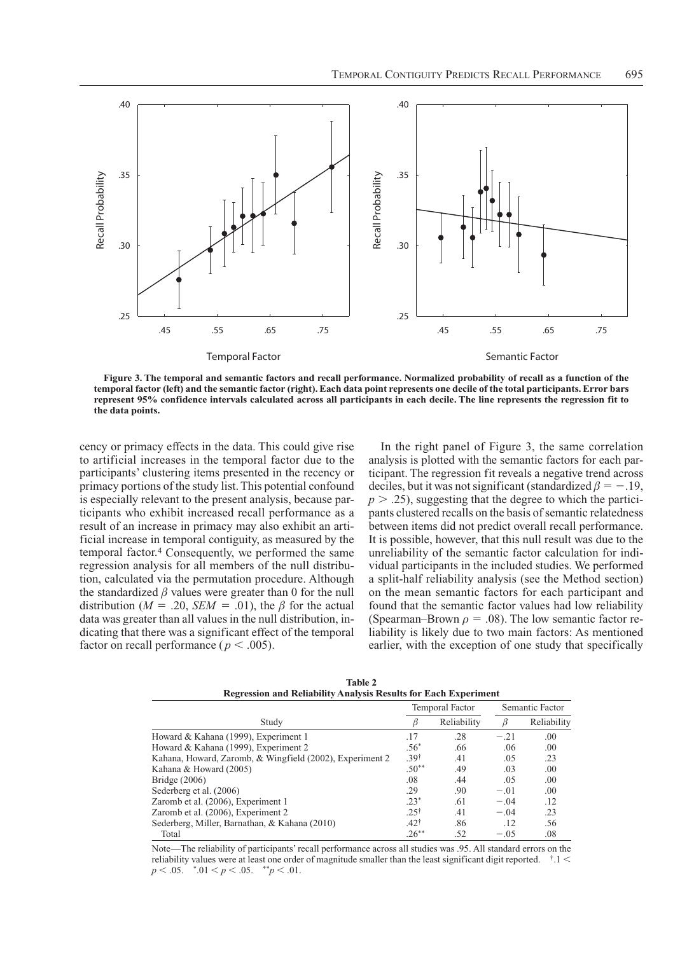

**Figure 3. The temporal and semantic factors and recall performance. Normalized probability of recall as a function of the temporal factor (left) and the semantic factor (right). Each data point represents one decile of the total participants. Error bars represent 95% confidence intervals calculated across all participants in each decile. The line represents the regression fit to the data points.**

cency or primacy effects in the data. This could give rise to artificial increases in the temporal factor due to the participants' clustering items presented in the recency or primacy portions of the study list. This potential confound is especially relevant to the present analysis, because participants who exhibit increased recall performance as a result of an increase in primacy may also exhibit an artificial increase in temporal contiguity, as measured by the temporal factor.4 Consequently, we performed the same regression analysis for all members of the null distribution, calculated via the permutation procedure. Although the standardized  $\beta$  values were greater than 0 for the null distribution ( $M = .20$ , *SEM* = .01), the  $\beta$  for the actual data was greater than all values in the null distribution, indicating that there was a significant effect of the temporal factor on recall performance ( $p < .005$ ).

In the right panel of Figure 3, the same correlation analysis is plotted with the semantic factors for each participant. The regression fit reveals a negative trend across deciles, but it was not significant (standardized  $\beta = -1.19$ ,  $p > .25$ ), suggesting that the degree to which the participants clustered recalls on the basis of semantic relatedness between items did not predict overall recall performance. It is possible, however, that this null result was due to the unreliability of the semantic factor calculation for individual participants in the included studies. We performed a split-half reliability analysis (see the Method section) on the mean semantic factors for each participant and found that the semantic factor values had low reliability (Spearman–Brown  $\rho = .08$ ). The low semantic factor reliability is likely due to two main factors: As mentioned earlier, with the exception of one study that specifically

| <b>Table 2</b>                                                         |
|------------------------------------------------------------------------|
| <b>Regression and Reliability Analysis Results for Each Experiment</b> |

|                                                          |                  | <b>Temporal Factor</b> | Semantic Factor |             |  |
|----------------------------------------------------------|------------------|------------------------|-----------------|-------------|--|
| Study                                                    |                  | Reliability            |                 | Reliability |  |
| Howard & Kahana (1999), Experiment 1                     | .17              | .28                    | $-.21$          | .00         |  |
| Howard & Kahana (1999), Experiment 2                     | $.56*$           | .66                    | .06             | .00         |  |
| Kahana, Howard, Zaromb, & Wingfield (2002), Experiment 2 | .39 <sup>†</sup> | .41                    | .05             | .23         |  |
| Kahana & Howard (2005)                                   | $.50**$          | .49                    | .03             | .00.        |  |
| Bridge $(2006)$                                          | .08              | .44                    | .05             | .00         |  |
| Sederberg et al. (2006)                                  | .29              | .90                    | $-.01$          | .00         |  |
| Zaromb et al. (2006), Experiment 1                       | $.23*$           | .61                    | $-.04$          | .12         |  |
| Zaromb et al. (2006), Experiment 2                       | $.25^{\dagger}$  | .41                    | $-.04$          | .23         |  |
| Sederberg, Miller, Barnathan, & Kahana (2010)            | .42 <sup>†</sup> | .86                    | .12             | .56         |  |
| Total                                                    | $.26***$         | .52                    | $-.05$          | .08         |  |

Note—The reliability of participants' recall performance across all studies was .95. All standard errors on the reliability values were at least one order of magnitude smaller than the least significant digit reported.  $\hbar$  1  $\leq$  $p < .05.$   $\text{*} .01 < p < .05.$   $\text{*} \text{*} p < .01.$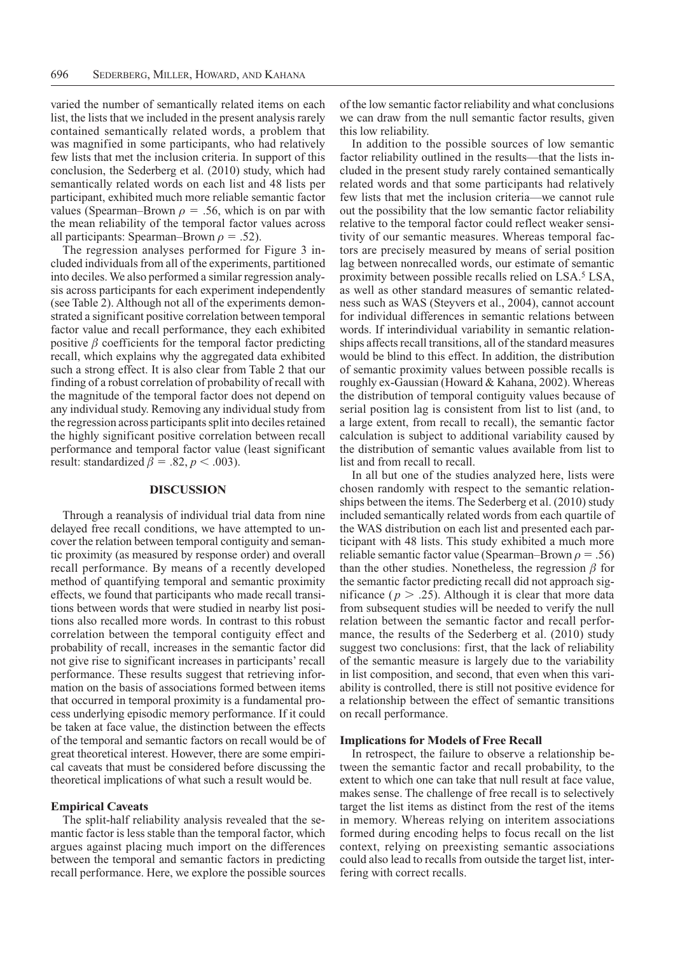varied the number of semantically related items on each list, the lists that we included in the present analysis rarely contained semantically related words, a problem that was magnified in some participants, who had relatively few lists that met the inclusion criteria. In support of this conclusion, the Sederberg et al. (2010) study, which had semantically related words on each list and 48 lists per participant, exhibited much more reliable semantic factor values (Spearman–Brown  $\rho = .56$ , which is on par with the mean reliability of the temporal factor values across all participants: Spearman–Brown  $\rho = .52$ ).

The regression analyses performed for Figure 3 included individuals from all of the experiments, partitioned into deciles. We also performed a similar regression analysis across participants for each experiment independently (see Table 2). Although not all of the experiments demonstrated a significant positive correlation between temporal factor value and recall performance, they each exhibited positive  $\beta$  coefficients for the temporal factor predicting recall, which explains why the aggregated data exhibited such a strong effect. It is also clear from Table 2 that our finding of a robust correlation of probability of recall with the magnitude of the temporal factor does not depend on any individual study. Removing any individual study from the regression across participants split into deciles retained the highly significant positive correlation between recall performance and temporal factor value (least significant result: standardized  $\beta = .82, p < .003$ ).

## **Discussion**

Through a reanalysis of individual trial data from nine delayed free recall conditions, we have attempted to uncover the relation between temporal contiguity and semantic proximity (as measured by response order) and overall recall performance. By means of a recently developed method of quantifying temporal and semantic proximity effects, we found that participants who made recall transitions between words that were studied in nearby list positions also recalled more words. In contrast to this robust correlation between the temporal contiguity effect and probability of recall, increases in the semantic factor did not give rise to significant increases in participants' recall performance. These results suggest that retrieving information on the basis of associations formed between items that occurred in temporal proximity is a fundamental process underlying episodic memory performance. If it could be taken at face value, the distinction between the effects of the temporal and semantic factors on recall would be of great theoretical interest. However, there are some empirical caveats that must be considered before discussing the theoretical implications of what such a result would be.

#### **Empirical Caveats**

The split-half reliability analysis revealed that the semantic factor is less stable than the temporal factor, which argues against placing much import on the differences between the temporal and semantic factors in predicting recall performance. Here, we explore the possible sources

of the low semantic factor reliability and what conclusions we can draw from the null semantic factor results, given this low reliability.

In addition to the possible sources of low semantic factor reliability outlined in the results—that the lists included in the present study rarely contained semantically related words and that some participants had relatively few lists that met the inclusion criteria—we cannot rule out the possibility that the low semantic factor reliability relative to the temporal factor could reflect weaker sensitivity of our semantic measures. Whereas temporal factors are precisely measured by means of serial position lag between nonrecalled words, our estimate of semantic proximity between possible recalls relied on LSA.5 LSA, as well as other standard measures of semantic relatedness such as WAS (Steyvers et al., 2004), cannot account for individual differences in semantic relations between words. If interindividual variability in semantic relationships affects recall transitions, all of the standard measures would be blind to this effect. In addition, the distribution of semantic proximity values between possible recalls is roughly ex-Gaussian (Howard & Kahana, 2002). Whereas the distribution of temporal contiguity values because of serial position lag is consistent from list to list (and, to a large extent, from recall to recall), the semantic factor calculation is subject to additional variability caused by the distribution of semantic values available from list to list and from recall to recall.

In all but one of the studies analyzed here, lists were chosen randomly with respect to the semantic relationships between the items. The Sederberg et al. (2010) study included semantically related words from each quartile of the WAS distribution on each list and presented each participant with 48 lists. This study exhibited a much more reliable semantic factor value (Spearman–Brown  $\rho = .56$ ) than the other studies. Nonetheless, the regression  $\beta$  for the semantic factor predicting recall did not approach significance ( $p > .25$ ). Although it is clear that more data from subsequent studies will be needed to verify the null relation between the semantic factor and recall performance, the results of the Sederberg et al. (2010) study suggest two conclusions: first, that the lack of reliability of the semantic measure is largely due to the variability in list composition, and second, that even when this variability is controlled, there is still not positive evidence for a relationship between the effect of semantic transitions on recall performance.

## **Implications for Models of Free Recall**

In retrospect, the failure to observe a relationship between the semantic factor and recall probability, to the extent to which one can take that null result at face value, makes sense. The challenge of free recall is to selectively target the list items as distinct from the rest of the items in memory. Whereas relying on interitem associations formed during encoding helps to focus recall on the list context, relying on preexisting semantic associations could also lead to recalls from outside the target list, interfering with correct recalls.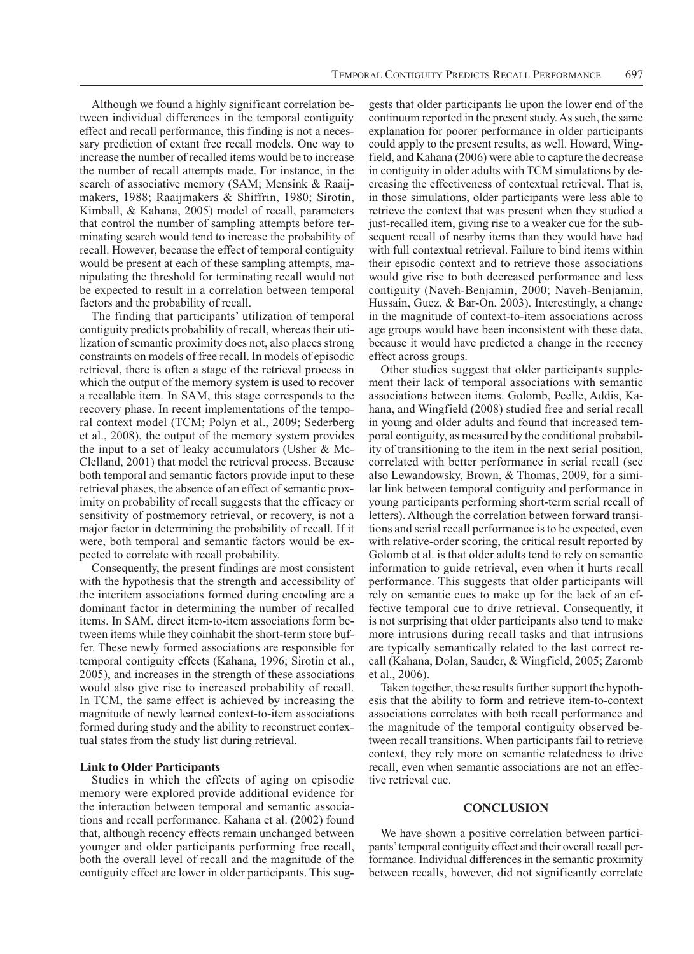Although we found a highly significant correlation between individual differences in the temporal contiguity effect and recall performance, this finding is not a necessary prediction of extant free recall models. One way to increase the number of recalled items would be to increase the number of recall attempts made. For instance, in the search of associative memory (SAM; Mensink & Raaijmakers, 1988; Raaijmakers & Shiffrin, 1980; Sirotin, Kimball, & Kahana, 2005) model of recall, parameters that control the number of sampling attempts before terminating search would tend to increase the probability of recall. However, because the effect of temporal contiguity would be present at each of these sampling attempts, manipulating the threshold for terminating recall would not be expected to result in a correlation between temporal factors and the probability of recall.

The finding that participants' utilization of temporal contiguity predicts probability of recall, whereas their utilization of semantic proximity does not, also places strong constraints on models of free recall. In models of episodic retrieval, there is often a stage of the retrieval process in which the output of the memory system is used to recover a recallable item. In SAM, this stage corresponds to the recovery phase. In recent implementations of the temporal context model (TCM; Polyn et al., 2009; Sederberg et al., 2008), the output of the memory system provides the input to a set of leaky accumulators (Usher & Mc-Clelland, 2001) that model the retrieval process. Because both temporal and semantic factors provide input to these retrieval phases, the absence of an effect of semantic proximity on probability of recall suggests that the efficacy or sensitivity of postmemory retrieval, or recovery, is not a major factor in determining the probability of recall. If it were, both temporal and semantic factors would be expected to correlate with recall probability.

Consequently, the present findings are most consistent with the hypothesis that the strength and accessibility of the interitem associations formed during encoding are a dominant factor in determining the number of recalled items. In SAM, direct item-to-item associations form between items while they coinhabit the short-term store buffer. These newly formed associations are responsible for temporal contiguity effects (Kahana, 1996; Sirotin et al., 2005), and increases in the strength of these associations would also give rise to increased probability of recall. In TCM, the same effect is achieved by increasing the magnitude of newly learned context-to-item associations formed during study and the ability to reconstruct contextual states from the study list during retrieval.

# **Link to Older Participants**

Studies in which the effects of aging on episodic memory were explored provide additional evidence for the interaction between temporal and semantic associations and recall performance. Kahana et al. (2002) found that, although recency effects remain unchanged between younger and older participants performing free recall, both the overall level of recall and the magnitude of the contiguity effect are lower in older participants. This sug-

gests that older participants lie upon the lower end of the continuum reported in the present study. As such, the same explanation for poorer performance in older participants could apply to the present results, as well. Howard, Wingfield, and Kahana (2006) were able to capture the decrease in contiguity in older adults with TCM simulations by decreasing the effectiveness of contextual retrieval. That is, in those simulations, older participants were less able to retrieve the context that was present when they studied a just-recalled item, giving rise to a weaker cue for the subsequent recall of nearby items than they would have had with full contextual retrieval. Failure to bind items within their episodic context and to retrieve those associations would give rise to both decreased performance and less contiguity (Naveh-Benjamin, 2000; Naveh-Benjamin, Hussain, Guez, & Bar-On, 2003). Interestingly, a change in the magnitude of context-to-item associations across age groups would have been inconsistent with these data, because it would have predicted a change in the recency effect across groups.

Other studies suggest that older participants supplement their lack of temporal associations with semantic associations between items. Golomb, Peelle, Addis, Kahana, and Wingfield (2008) studied free and serial recall in young and older adults and found that increased temporal contiguity, as measured by the conditional probability of transitioning to the item in the next serial position, correlated with better performance in serial recall (see also Lewandowsky, Brown, & Thomas, 2009, for a similar link between temporal contiguity and performance in young participants performing short-term serial recall of letters). Although the correlation between forward transitions and serial recall performance is to be expected, even with relative-order scoring, the critical result reported by Golomb et al. is that older adults tend to rely on semantic information to guide retrieval, even when it hurts recall performance. This suggests that older participants will rely on semantic cues to make up for the lack of an effective temporal cue to drive retrieval. Consequently, it is not surprising that older participants also tend to make more intrusions during recall tasks and that intrusions are typically semantically related to the last correct recall (Kahana, Dolan, Sauder, & Wingfield, 2005; Zaromb et al., 2006).

Taken together, these results further support the hypothesis that the ability to form and retrieve item-to-context associations correlates with both recall performance and the magnitude of the temporal contiguity observed between recall transitions. When participants fail to retrieve context, they rely more on semantic relatedness to drive recall, even when semantic associations are not an effective retrieval cue.

## **Conclusion**

We have shown a positive correlation between participants' temporal contiguity effect and their overall recall performance. Individual differences in the semantic proximity between recalls, however, did not significantly correlate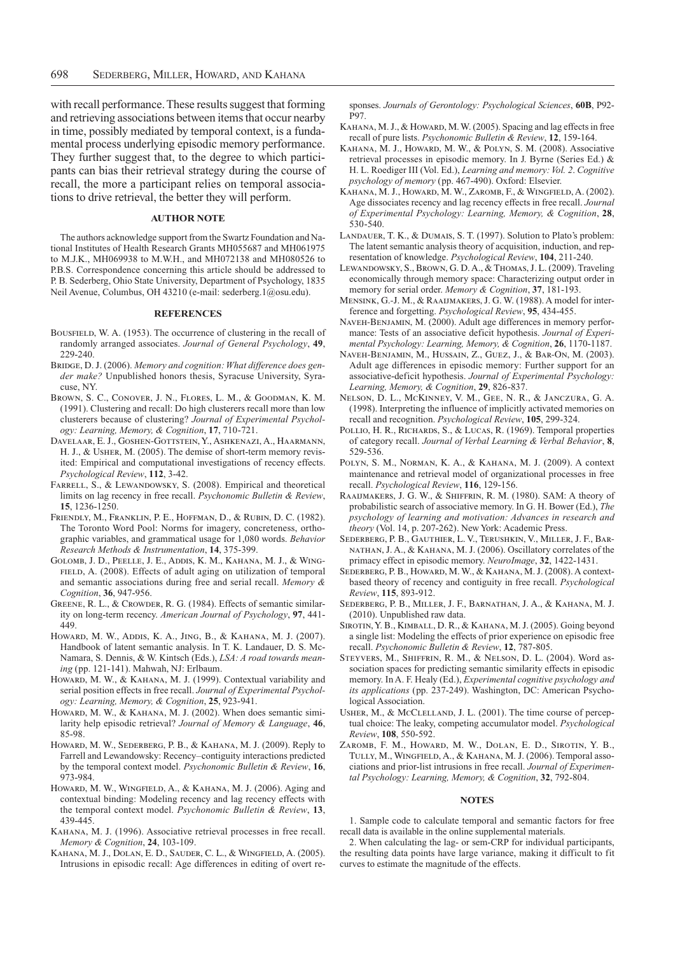with recall performance. These results suggest that forming and retrieving associations between items that occur nearby in time, possibly mediated by temporal context, is a fundamental process underlying episodic memory performance. They further suggest that, to the degree to which participants can bias their retrieval strategy during the course of recall, the more a participant relies on temporal associations to drive retrieval, the better they will perform.

## **Author Note**

The authors acknowledge support from the Swartz Foundation and National Institutes of Health Research Grants MH055687 and MH061975 to M.J.K., MH069938 to M.W.H., and MH072138 and MH080526 to P.B.S. Correspondence concerning this article should be addressed to P. B. Sederberg, Ohio State University, Department of Psychology, 1835 Neil Avenue, Columbus, OH 43210 (e-mail: sederberg.1@osu.edu).

#### **References**

- BOUSFIELD, W. A. (1953). The occurrence of clustering in the recall of randomly arranged associates. *Journal of General Psychology*, **49**, 229-240.
- BRIDGE, D. J. (2006). Memory and cognition: What difference does gen*der make?* Unpublished honors thesis, Syracuse University, Syracuse, NY.
- Brown, S. C., Conover, J. N., Flores, L. M., & Goodman, K. M. (1991). Clustering and recall: Do high clusterers recall more than low clusterers because of clustering? *Journal of Experimental Psychology: Learning, Memory, & Cognition*, **17**, 710-721.
- Davelaar, E. J., Goshen-Gottstein, Y., Ashkenazi, A., Haarmann, H. J., & Usher, M. (2005). The demise of short-term memory revisited: Empirical and computational investigations of recency effects. *Psychological Review*, **112**, 3-42.
- FARRELL, S., & LEWANDOWSKY, S. (2008). Empirical and theoretical limits on lag recency in free recall. *Psychonomic Bulletin & Review*, **15**, 1236-1250.
- Friendly, M., Franklin, P. E., Hoffman, D., & Rubin, D. C. (1982). The Toronto Word Pool: Norms for imagery, concreteness, orthographic variables, and grammatical usage for 1,080 words. *Behavior Research Methods & Instrumentation*, **14**, 375-399.
- Golomb, J. D., Peelle, J. E., Addis, K. M., Kahana, M. J., & Wing-FIELD, A. (2008). Effects of adult aging on utilization of temporal and semantic associations during free and serial recall. *Memory & Cognition*, **36**, 947-956.
- Greene, R. L., & Crowder, R. G. (1984). Effects of semantic similarity on long-term recency. *American Journal of Psychology*, **97**, 441- 449.
- Howard, M. W., Addis, K. A., Jing, B., & Kahana, M. J. (2007). Handbook of latent semantic analysis. In T. K. Landauer, D. S. Mc-Namara, S. Dennis, & W. Kintsch (Eds.), *LSA: A road towards meaning* (pp. 121-141). Mahwah, NJ: Erlbaum.
- Howard, M. W., & KAHANA, M. J. (1999). Contextual variability and serial position effects in free recall. *Journal of Experimental Psychology: Learning, Memory, & Cognition*, **25**, 923-941.
- Howard, M. W., & KAHANA, M. J. (2002). When does semantic similarity help episodic retrieval? *Journal of Memory & Language*, **46**, 85-98.
- HOWARD, M. W., SEDERBERG, P. B., & KAHANA, M. J. (2009). Reply to Farrell and Lewandowsky: Recency–contiguity interactions predicted by the temporal context model. *Psychonomic Bulletin & Review*, **16**, 973-984.
- HOWARD, M. W., WINGFIELD, A., & KAHANA, M. J. (2006). Aging and contextual binding: Modeling recency and lag recency effects with the temporal context model. *Psychonomic Bulletin & Review*, **13**, 439-445.
- Kahana, M. J. (1996). Associative retrieval processes in free recall. *Memory & Cognition*, **24**, 103-109.
- Kahana, M. J., Dolan, E. D., Sauder, C. L., & Wingfield, A. (2005). Intrusions in episodic recall: Age differences in editing of overt re-

sponses. *Journals of Gerontology: Psychological Sciences*, **60B**, P92- P97.

- KAHANA, M. J., & HOWARD, M. W. (2005). Spacing and lag effects in free recall of pure lists. *Psychonomic Bulletin & Review*, **12**, 159-164.
- Kahana, M. J., Howard, M. W., & Polyn, S. M. (2008). Associative retrieval processes in episodic memory. In J. Byrne (Series Ed.) & H. L. Roediger III (Vol. Ed.), *Learning and memory: Vol. 2*. *Cognitive psychology of memory* (pp. 467-490). Oxford: Elsevier.
- Kahana, M. J., Howard, M. W., Zaromb, F., & Wingfield, A. (2002). Age dissociates recency and lag recency effects in free recall. *Journal of Experimental Psychology: Learning, Memory, & Cognition*, **28**, 530-540.
- LANDAUER, T. K., & DUMAIS, S. T. (1997). Solution to Plato's problem: The latent semantic analysis theory of acquisition, induction, and representation of knowledge. *Psychological Review*, **104**, 211-240.
- Lewandowsky, S., Brown, G. D. A., & Thomas, J. L. (2009). Traveling economically through memory space: Characterizing output order in memory for serial order. *Memory & Cognition*, **37**, 181-193.
- Mensink, G.-J. M., & Raaijmakers, J. G. W. (1988). A model for interference and forgetting. *Psychological Review*, **95**, 434-455.
- Naveh-Benjamin, M. (2000). Adult age differences in memory performance: Tests of an associative deficit hypothesis. *Journal of Experimental Psychology: Learning, Memory, & Cognition*, **26**, 1170-1187.
- Naveh-Benjamin, M., Hussain, Z., Guez, J., & Bar-On, M. (2003). Adult age differences in episodic memory: Further support for an associative-deficit hypothesis. *Journal of Experimental Psychology: Learning, Memory, & Cognition*, **29**, 826-837.
- Nelson, D. L., McKinney, V. M., Gee, N. R., & Janczura, G. A. (1998). Interpreting the influence of implicitly activated memories on recall and recognition. *Psychological Review*, **105**, 299-324.
- POLLIO, H. R., RICHARDS, S., & LUCAS, R. (1969). Temporal properties of category recall. *Journal of Verbal Learning & Verbal Behavior*, **8**, 529-536.
- Polyn, S. M., Norman, K. A., & Kahana, M. J. (2009). A context maintenance and retrieval model of organizational processes in free recall. *Psychological Review*, **116**, 129-156.
- Raaijmakers, J. G. W., & Shiffrin, R. M. (1980). SAM: A theory of probabilistic search of associative memory. In G. H. Bower (Ed.), *The psychology of learning and motivation: Advances in research and theory* (Vol. 14, p. 207-262). New York: Academic Press.
- Sederberg, P. B., Gauthier, L. V., Terushkin, V., Miller, J. F., Barnathan, J. A., & Kahana, M. J. (2006). Oscillatory correlates of the primacy effect in episodic memory. *NeuroImage*, **32**, 1422-1431.
- Sederberg, P. B., Howard, M. W., & Kahana, M. J. (2008). A contextbased theory of recency and contiguity in free recall. *Psychological Review*, **115**, 893-912.
- Sederberg, P. B., Miller, J. F., Barnathan, J. A., & Kahana, M. J. (2010). Unpublished raw data.
- Sirotin, Y. B., Kimball, D. R., & Kahana, M. J. (2005). Going beyond a single list: Modeling the effects of prior experience on episodic free recall. *Psychonomic Bulletin & Review*, **12**, 787-805.
- Steyvers, M., Shiffrin, R. M., & Nelson, D. L. (2004). Word association spaces for predicting semantic similarity effects in episodic memory. In A. F. Healy (Ed.), *Experimental cognitive psychology and its applications* (pp. 237-249). Washington, DC: American Psychological Association.
- USHER, M., & McCLELLAND, J. L. (2001). The time course of perceptual choice: The leaky, competing accumulator model. *Psychological Review*, **108**, 550-592.
- Zaromb, F. M., Howard, M. W., Dolan, E. D., Sirotin, Y. B., Tully, M., Wingfield, A., & Kahana, M. J. (2006). Temporal associations and prior-list intrusions in free recall. *Journal of Experimental Psychology: Learning, Memory, & Cognition*, **32**, 792-804.

#### **Notes**

1. Sample code to calculate temporal and semantic factors for free recall data is available in the online supplemental materials.

2. When calculating the lag- or sem-CRP for individual participants, the resulting data points have large variance, making it difficult to fit curves to estimate the magnitude of the effects.